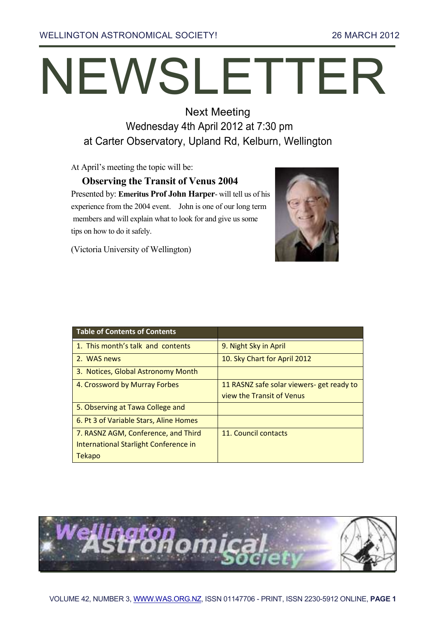WELLINGTON ASTRONOMICAL SOCIETY! 26 MARCH 2012

# NEWSLETTER

Next Meeting Wednesday 4th April 2012 at 7:30 pm at Carter Observatory, Upland Rd, Kelburn, Wellington

At April's meeting the topic will be:

**Observing the Transit of Venus 2004**  Presented by: **Emeritus Prof John Harper**- will tell us of his experience from the 2004 event. John is one of our long term members and will explain what to look for and give us some tips on how to do it safely.



(Victoria University of Wellington)

| <b>Table of Contents of Contents</b>   |                                           |
|----------------------------------------|-------------------------------------------|
| 1. This month's talk and contents      | 9. Night Sky in April                     |
| 2. WAS news                            | 10. Sky Chart for April 2012              |
| 3. Notices, Global Astronomy Month     |                                           |
| 4. Crossword by Murray Forbes          | 11 RASNZ safe solar viewers- get ready to |
|                                        | view the Transit of Venus                 |
| 5. Observing at Tawa College and       |                                           |
| 6. Pt 3 of Variable Stars, Aline Homes |                                           |
| 7. RASNZ AGM, Conference, and Third    | 11. Council contacts                      |
| International Starlight Conference in  |                                           |
| <b>Tekapo</b>                          |                                           |

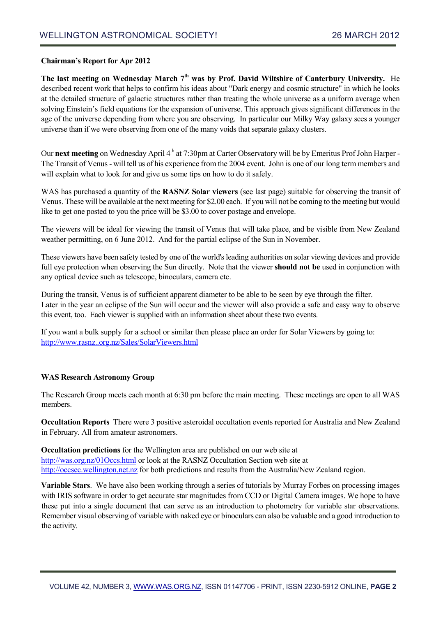#### **Chairman's Report for Apr 2012**

**The last meeting on Wednesday March 7th was by Prof. David Wiltshire of Canterbury University.** He described recent work that helps to confirm his ideas about "Dark energy and cosmic structure" in which he looks at the detailed structure of galactic structures rather than treating the whole universe as a uniform average when solving Einstein's field equations for the expansion of universe. This approach gives significant differences in the age of the universe depending from where you are observing. In particular our Milky Way galaxy sees a younger universe than if we were observing from one of the many voids that separate galaxy clusters.

Our next meeting on Wednesday April 4<sup>th</sup> at 7:30pm at Carter Observatory will be by Emeritus Prof John Harper -The Transit of Venus - will tell us of his experience from the 2004 event. John is one of our long term members and will explain what to look for and give us some tips on how to do it safely.

WAS has purchased a quantity of the **RASNZ Solar viewers** (see last page) suitable for observing the transit of Venus. These will be available at the next meeting for \$2.00 each. If you will not be coming to the meeting but would like to get one posted to you the price will be \$3.00 to cover postage and envelope.

The viewers will be ideal for viewing the transit of Venus that will take place, and be visible from New Zealand weather permitting, on 6 June 2012. And for the partial eclipse of the Sun in November.

These viewers have been safety tested by one of the world's leading authorities on solar viewing devices and provide full eye protection when observing the Sun directly. Note that the viewer **should not be** used in conjunction with any optical device such as telescope, binoculars, camera etc.

During the transit, Venus is of sufficient apparent diameter to be able to be seen by eye through the filter. Later in the year an eclipse of the Sun will occur and the viewer will also provide a safe and easy way to observe this event, too. Each viewer is supplied with an information sheet about these two events.

If you want a bulk supply for a school or similar then please place an order for Solar Viewers by going to: [http://www.rasnz..org.nz/Sales/SolarViewers.html](http://www.rasnz..org.nz/sales/solarviewers.html)

#### **WAS Research Astronomy Group**

The Research Group meets each month at 6:30 pm before the main meeting. These meetings are open to all WAS members.

**Occultation Reports** There were 3 positive asteroidal occultation events reported for Australia and New Zealand in February. All from amateur astronomers.

**Occultation predictions** for the Wellington area are published on our web site at [http://was.org.nz/01Occs.html](http://was.org.nz/01occs.html) or look at the RASNZ Occultation Section web site at [http://occsec.wellington.net.nz](http://occsec.wellington.net.nz/) for both predictions and results from the Australia/New Zealand region.

**Variable Stars**. We have also been working through a series of tutorials by Murray Forbes on processing images with IRIS software in order to get accurate star magnitudes from CCD or Digital Camera images. We hope to have these put into a single document that can serve as an introduction to photometry for variable star observations. Remember visual observing of variable with naked eye or binoculars can also be valuable and a good introduction to the activity.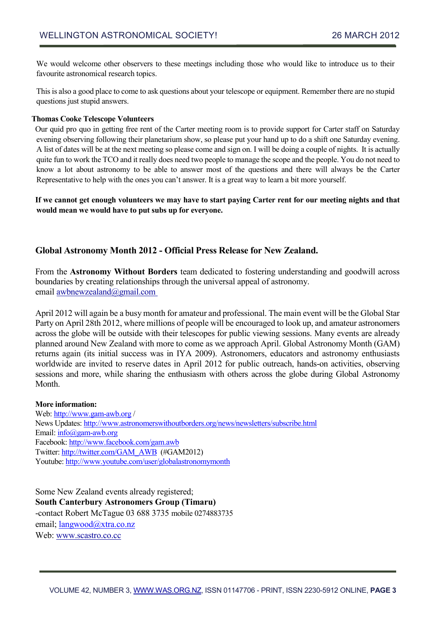We would welcome other observers to these meetings including those who would like to introduce us to their favourite astronomical research topics.

This is also a good place to come to ask questions about your telescope or equipment. Remember there are no stupid questions just stupid answers.

#### **Thomas Cooke Telescope Volunteers**

Our quid pro quo in getting free rent of the Carter meeting room is to provide support for Carter staff on Saturday evening observing following their planetarium show, so please put your hand up to do a shift one Saturday evening. A list of dates will be at the next meeting so please come and sign on. I will be doing a couple of nights. It is actually quite fun to work the TCO and it really does need two people to manage the scope and the people. You do not need to know a lot about astronomy to be able to answer most of the questions and there will always be the Carter Representative to help with the ones you can't answer. It is a great way to learn a bit more yourself.

**If we cannot get enough volunteers we may have to start paying Carter rent for our meeting nights and that would mean we would have to put subs up for everyone.**

# **Global Astronomy Month 2012 - Official Press Release for New Zealand.**

From the **Astronomy Without Borders** team dedicated to fostering understanding and goodwill across boundaries by creating relationships through the universal appeal of astronomy. email awbnewzealand@gmail.com

April 2012 will again be a busy month for amateur and professional. The main event will be the Global Star Party on April 28th 2012, where millions of people will be encouraged to look up, and amateur astronomers across the globe will be outside with their telescopes for public viewing sessions. Many events are already planned around New Zealand with more to come as we approach April. Global Astronomy Month (GAM) returns again (its initial success was in IYA 2009). Astronomers, educators and astronomy enthusiasts worldwide are invited to reserve dates in April 2012 for public outreach, hands-on activities, observing sessions and more, while sharing the enthusiasm with others across the globe during Global Astronomy Month.

### **More information:**

Web[: http://www.gam-awb.org](http://www.gam-awb.org/) / News Updates: <http://www.astronomerswithoutborders.org/news/newsletters/subscribe.html> Email[: info@gam-awb.org](mailto:info@gam-awb.org) Facebook:<http://www.facebook.com/gam.awb> Twitter: [http://twitter.com/GAM\\_AWB](http://twitter.com/GAM_AWB) (#GAM2012) Youtube[: http://www.youtube.com/user/globalastronomymonth](http://www.youtube.com/user/globalastronomymonth)

Some New Zealand events already registered; **South Canterbury Astronomers Group (Timaru)**  -contact Robert McTague 03 688 3735 mobile 0274883735 email; <u>langwood@xtra.co.nz</u> Web: [www.scastro.co.cc](http://www.scastro.co.cc/)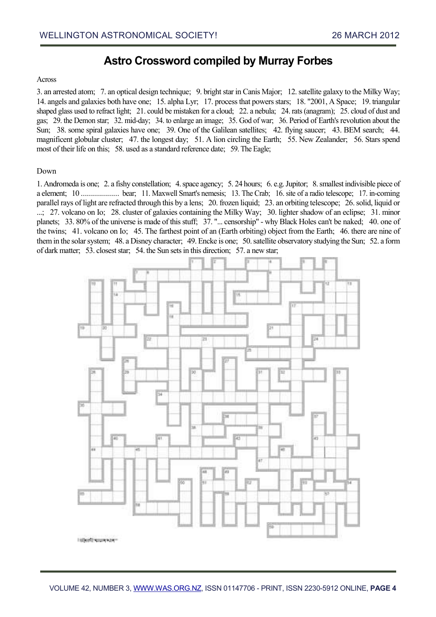# **Astro Crossword compiled by Murray Forbes**

#### **Across**

3. an arrested atom; 7. an optical design technique; 9. bright star in Canis Major; 12. satellite galaxy to the Milky Way; 14. angels and galaxies both have one; 15. alpha Lyr; 17. process that powers stars; 18. "2001, A Space; 19. triangular shaped glass used to refract light; 21. could be mistaken for a cloud; 22. a nebula; 24. rats (anagram); 25. cloud of dust and gas; 29. the Demon star; 32. mid-day; 34. to enlarge an image; 35. God of war; 36. Period of Earth's revolution about the Sun; 38. some spiral galaxies have one; 39. One of the Galilean satellites; 42. flying saucer; 43. BEM search; 44. magnificent globular cluster; 47. the longest day; 51. A lion circling the Earth; 55. New Zealander; 56. Stars spend most of their life on this; 58. used as a standard reference date; 59. The Eagle;

#### Down

1. Andromeda is one; 2. a fishy constellation; 4. space agency; 5. 24 hours; 6. e.g. Jupitor; 8. smallest indivisible piece of a element; 10 ................... bear; 11. Maxwell Smart's nemesis; 13. The Crab; 16. site of a radio telescope; 17. in-coming parallel rays of light are refracted through this by a lens; 20. frozen liquid; 23. an orbiting telescope; 26. solid, liquid or ...; 27. volcano on Io; 28. cluster of galaxies containing the Milky Way; 30. lighter shadow of an eclipse; 31. minor planets; 33. 80% of the universe is made of this stuff; 37. "... censorship" - why Black Holes can't be naked; 40. one of the twins; 41. volcano on Io; 45. The farthest point of an (Earth orbiting) object from the Earth; 46. there are nine of them in the solar system; 48. a Disney character; 49. Encke is one; 50. satellite observatory studying the Sun; 52. a form of dark matter; 53. closest star; 54. the Sun sets in this direction; 57. a new star;

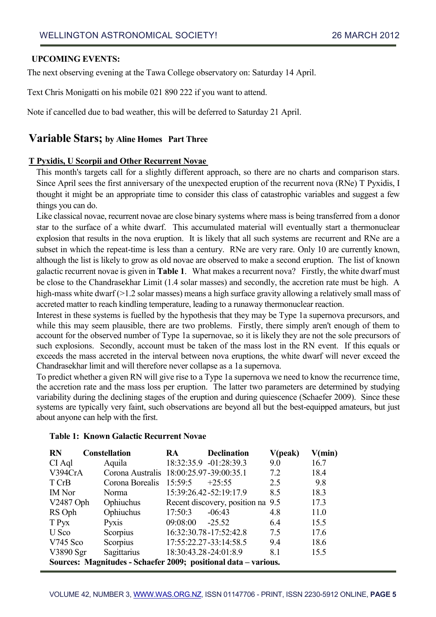# **UPCOMING EVENTS:**

The next observing evening at the Tawa College observatory on: Saturday 14 April.

Text Chris Monigatti on his mobile 021 890 222 if you want to attend.

Note if cancelled due to bad weather, this will be deferred to Saturday 21 April.

# **Variable Stars; by Aline Homes Part Three**

# **T Pyxidis, U Scorpii and Other Recurrent Novae**

This month's targets call for a slightly different approach, so there are no charts and comparison stars. Since April sees the first anniversary of the unexpected eruption of the recurrent nova (RNe) T Pyxidis, I thought it might be an appropriate time to consider this class of catastrophic variables and suggest a few things you can do.

Like classical novae, recurrent novae are close binary systems where mass is being transferred from a donor star to the surface of a white dwarf. This accumulated material will eventually start a thermonuclear explosion that results in the nova eruption. It is likely that all such systems are recurrent and RNe are a subset in which the repeat-time is less than a century. RNe are very rare. Only 10 are currently known, although the list is likely to grow as old novae are observed to make a second eruption. The list of known galactic recurrent novae is given in **Table 1**. What makes a recurrent nova? Firstly, the white dwarf must be close to the Chandrasekhar Limit (1.4 solar masses) and secondly, the accretion rate must be high. A high-mass white dwarf (>1.2 solar masses) means a high surface gravity allowing a relatively small mass of accreted matter to reach kindling temperature, leading to a runaway thermonuclear reaction.

Interest in these systems is fuelled by the hypothesis that they may be Type 1a supernova precursors, and while this may seem plausible, there are two problems. Firstly, there simply aren't enough of them to account for the observed number of Type 1a supernovae, so it is likely they are not the sole precursors of such explosions. Secondly, account must be taken of the mass lost in the RN event. If this equals or exceeds the mass accreted in the interval between nova eruptions, the white dwarf will never exceed the Chandrasekhar limit and will therefore never collapse as a 1a supernova.

To predict whether a given RN will give rise to a Type 1a supernova we need to know the recurrence time, the accretion rate and the mass loss per eruption. The latter two parameters are determined by studying variability during the declining stages of the eruption and during quiescence (Schaefer 2009). Since these systems are typically very faint, such observations are beyond all but the best-equipped amateurs, but just about anyone can help with the first.

| <b>Table 1: Known Galactic Recurrent Novae</b> |  |
|------------------------------------------------|--|
|------------------------------------------------|--|

| <b>RN</b>                                                       | <b>Constellation</b>                    | <b>RA</b>               | <b>Declination</b>                | V(peak) | V(min) |
|-----------------------------------------------------------------|-----------------------------------------|-------------------------|-----------------------------------|---------|--------|
| CI Aql                                                          | Aquila                                  |                         | 18:32:35.9 -01:28:39.3            | 9.0     | 16.7   |
| V394CrA                                                         | Corona Australis 18:00:25.97-39:00:35.1 |                         |                                   | 7.2     | 18.4   |
| T CrB                                                           | Corona Borealis                         | 15:59:5                 | $+25:55$                          | 2.5     | 9.8    |
| <b>IM</b> Nor                                                   | Norma                                   |                         | 15:39:26.42-52:19:17.9            | 8.5     | 18.3   |
| V2487 Oph                                                       | Ophiuchus                               |                         | Recent discovery, position na 9.5 |         | 17.3   |
| RS Oph                                                          | Ophiuchus                               | 17:50:3                 | $-06:43$                          | 4.8     | 11.0   |
| T Pyx                                                           | <b>Pyxis</b>                            | 09:08:00                | $-25.52$                          | 6.4     | 15.5   |
| U Sco                                                           | Scorpius                                |                         | 16:32:30.78-17:52:42.8            | 7.5     | 17.6   |
| $V745$ Sco                                                      | Scorpius                                |                         | 17:55:22.27-33:14:58.5            | 9.4     | 18.6   |
| V3890 Sgr                                                       | Sagittarius                             | 18:30:43.28 - 24:01:8.9 |                                   | 8.1     | 15.5   |
| Sources: Magnitudes - Schaefer 2009; positional data - various. |                                         |                         |                                   |         |        |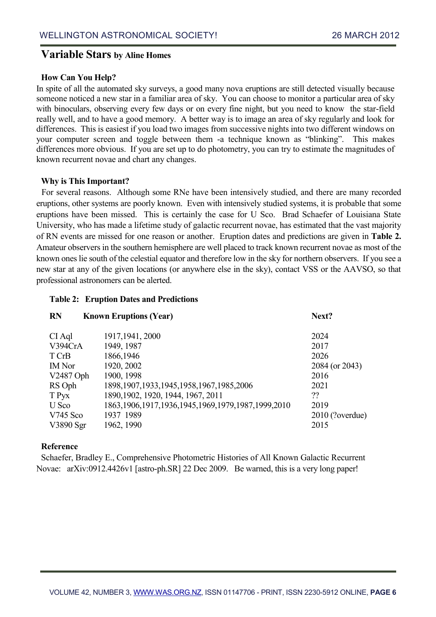# **Variable Stars by Aline Homes**

# **How Can You Help?**

In spite of all the automated sky surveys, a good many nova eruptions are still detected visually because someone noticed a new star in a familiar area of sky. You can choose to monitor a particular area of sky with binoculars, observing every few days or on every fine night, but you need to know the star-field really well, and to have a good memory. A better way is to image an area of sky regularly and look for differences. This is easiest if you load two images from successive nights into two different windows on your computer screen and toggle between them -a technique known as "blinking". This makes differences more obvious. If you are set up to do photometry, you can try to estimate the magnitudes of known recurrent novae and chart any changes.

### **Why is This Important?**

For several reasons. Although some RNe have been intensively studied, and there are many recorded eruptions, other systems are poorly known. Even with intensively studied systems, it is probable that some eruptions have been missed. This is certainly the case for U Sco. Brad Schaefer of Louisiana State University, who has made a lifetime study of galactic recurrent novae, has estimated that the vast majority of RN events are missed for one reason or another. Eruption dates and predictions are given in **Table 2.** Amateur observers in the southern hemisphere are well placed to track known recurrent novae as most of the known ones lie south of the celestial equator and therefore low in the sky for northern observers. If you see a new star at any of the given locations (or anywhere else in the sky), contact VSS or the AAVSO, so that professional astronomers can be alerted.

#### **Table 2: Eruption Dates and Predictions**

| <b>RN</b>     | <b>Known Eruptions (Year)</b>                              | Next?           |
|---------------|------------------------------------------------------------|-----------------|
| CI Aql        | 1917, 1941, 2000                                           | 2024            |
| V394CrA       | 1949, 1987                                                 | 2017            |
| T CrB         | 1866,1946                                                  | 2026            |
| <b>IM</b> Nor | 1920, 2002                                                 | 2084 (or 2043)  |
| V2487 Oph     | 1900, 1998                                                 | 2016            |
| RS Oph        | 1898, 1907, 1933, 1945, 1958, 1967, 1985, 2006             | 2021            |
| T Pyx         | 1890, 1902, 1920, 1944, 1967, 2011                         | ??              |
| U Sco         | 1863, 1906, 1917, 1936, 1945, 1969, 1979, 1987, 1999, 2010 | 2019            |
| $V745$ Sco    | 1937 1989                                                  | 2010 (?overdue) |
| V3890 Sgr     | 1962, 1990                                                 | 2015            |

### **Reference**

Schaefer, Bradley E., Comprehensive Photometric Histories of All Known Galactic Recurrent Novae: arXiv:0912.4426v1 [astro-ph.SR] 22 Dec 2009. Be warned, this is a very long paper!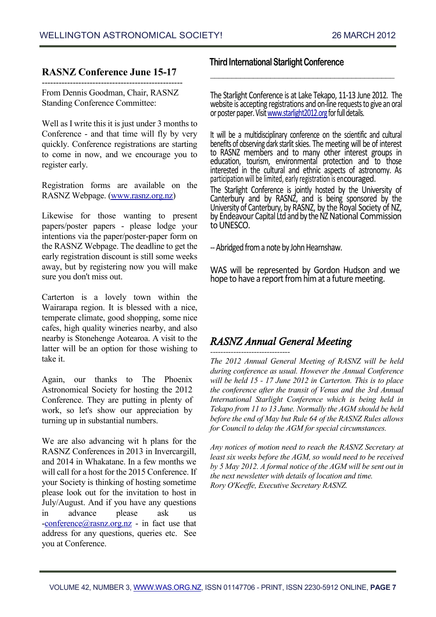# **RASNZ Conference June 15-17** --------------------------------------------------

From Dennis Goodman, Chair, RASNZ Standing Conference Committee:

Well as I write this it is just under 3 months to Conference - and that time will fly by very quickly. Conference registrations are starting to come in now, and we encourage you to register early.

Registration forms are available on the RASNZ Webpage. [\(www.rasnz.org.nz\)](http://www.rasnz.org.nz/)

Likewise for those wanting to present papers/poster papers - please lodge your intentions via the paper/poster-paper form on the RASNZ Webpage. The deadline to get the early registration discount is still some weeks away, but by registering now you will make sure you don't miss out.

Carterton is a lovely town within the Wairarapa region. It is blessed with a nice, temperate climate, good shopping, some nice cafes, high quality wineries nearby, and also nearby is Stonehenge Aotearoa. A visit to the latter will be an option for those wishing to take it.

Again, our thanks to The Phoenix Astronomical Society for hosting the 2012 Conference. They are putting in plenty of work, so let's show our appreciation by turning up in substantial numbers.

We are also advancing wit h plans for the RASNZ Conferences in 2013 in Invercargill, and 2014 in Whakatane. In a few months we will call for a host for the 2015 Conference. If your Society is thinking of hosting sometime please look out for the invitation to host in July/August. And if you have any questions in advance please ask us  $-conference(\partial_{1} \text{rasnz.org.nz} - \text{in fact use that})$ address for any questions, queries etc. See you at Conference.

# **Third International Starlight Conference**

The Starlight Conference is at Lake Tekapo, 11-13 June 2012. The website is accepting registrations and on-line requests to give an oral or poster paper. Visi[t www.starlight2012.org](http://www.starlight2012.org/) for full details.

 $\mathcal{L}_\text{max}$  , and the set of the set of the set of the set of the set of the set of the set of the set of the set of the set of the set of the set of the set of the set of the set of the set of the set of the set of the

It will be a multidisciplinary conference on the scientific and cultural benefits of observing dark starlit skies. The meeting will be of interest to RASNZ members and to many other interest groups in education, tourism, environmental protection and to those interested in the cultural and ethnic aspects of astronomy. As participation will be limited, early registration is encouraged.

The Starlight Conference is jointly hosted by the University of Canterbury and by RASNZ, and is being sponsored by the University of Canterbury, by RASNZ, by the Royal Society of NZ, by Endeavour Capital Ltd and by the NZ National Commission to UNESCO.

--Abridged from a note by John Hearnshaw.

WAS will be represented by Gordon Hudson and we hope to have a report from him at a future meeting.

# *RASNZ Annual General Meeting*

*------------------------------- The 2012 Annual General Meeting of RASNZ will be held during conference as usual. However the Annual Conference will be held 15 - 17 June 2012 in Carterton. This is to place the conference after the transit of Venus and the 3rd Annual International Starlight Conference which is being held in Tekapo from 11 to 13 June. Normally the AGM should be held before the end of May but Rule 64 of the RASNZ Rules allows for Council to delay the AGM for special circumstances.*

*Any notices of motion need to reach the RASNZ Secretary at least six weeks before the AGM, so would need to be received by 5 May 2012. A formal notice of the AGM will be sent out in the next newsletter with details of location and time. Rory O'Keeffe, Executive Secretary RASNZ.*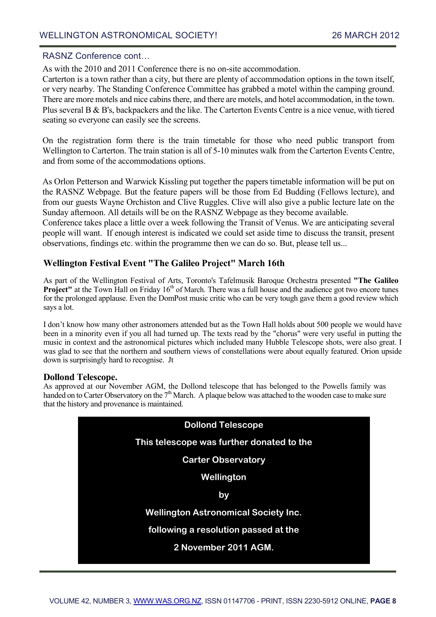## RASNZ Conference cont…

As with the 2010 and 2011 Conference there is no on-site accommodation.

Carterton is a town rather than a city, but there are plenty of accommodation options in the town itself, or very nearby. The Standing Conference Committee has grabbed a motel within the camping ground. There are more motels and nice cabins there, and there are motels, and hotel accommodation, in the town. Plus several B & B's, backpackers and the like. The Carterton Events Centre is a nice venue, with tiered seating so everyone can easily see the screens.

On the registration form there is the train timetable for those who need public transport from Wellington to Carterton. The train station is all of 5-10 minutes walk from the Carterton Events Centre, and from some of the accommodations options.

As Orlon Petterson and Warwick Kissling put together the papers timetable information will be put on the RASNZ Webpage. But the feature papers will be those from Ed Budding (Fellows lecture), and from our guests Wayne Orchiston and Clive Ruggles. Clive will also give a public lecture late on the Sunday afternoon. All details will be on the RASNZ Webpage as they become available.

Conference takes place a little over a week following the Transit of Venus. We are anticipating several people will want. If enough interest is indicated we could set aside time to discuss the transit, present observations, findings etc. within the programme then we can do so. But, please tell us...

# **Wellington Festival Event "The Galileo Project" March 16th**

As part of the Wellington Festival of Arts, Toronto's Tafelmusik Baroque Orchestra presented **"The Galileo Project"** at the Town Hall on Friday 16<sup>th</sup> of March. There was a full house and the audience got two encore tunes for the prolonged applause. Even the DomPost music critic who can be very tough gave them a good review which says a lot.

I don't know how many other astronomers attended but as the Town Hall holds about 500 people we would have been in a minority even if you all had turned up. The texts read by the "chorus" were very useful in putting the music in context and the astronomical pictures which included many Hubble Telescope shots, were also great. I was glad to see that the northern and southern views of constellations were about equally featured. Orion upside down is surprisingly hard to recognise. Jt

# **Dollond Telescope.**

As approved at our November AGM, the Dollond telescope that has belonged to the Powells family was handed on to Carter Observatory on the  $7<sup>th</sup>$  March. A plaque below was attached to the wooden case to make sure that the history and provenance is maintained.

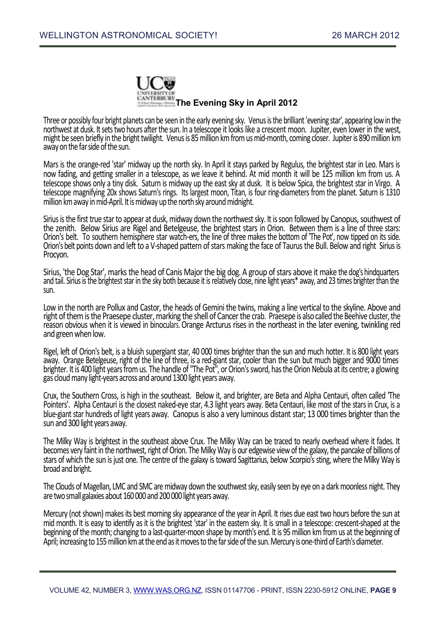

Three or possibly four bright planets can be seen in the early evening sky. Venusis the brilliant 'evening star', appearing low in the northwest at dusk. It sets two hours after the sun. In a telescope it looks like a crescent moon. Jupiter, even lower in the west, might be seen briefly in the bright twilight. Venus is 85 million km from us mid-month, coming closer. Jupiter is 890 million km away on the far side of the sun.

Mars is the orange-red 'star' midway up the north sky. In April it stays parked by Regulus, the brightest star in Leo. Mars is now fading, and getting smaller in a telescope, as we leave it behind. At mid month it will be 125 million km from us. A telescope shows only a tiny disk. Saturn is midway up the east sky at dusk. It is below Spica, the brightest star in Virgo. A telescope magnifying 20x shows Saturn's rings. Its largest moon, Titan, is four ring-diameters from the planet. Saturn is 1310 million km away in mid-April. It is midway up the north sky around midnight.

Sirius is the first true star to appear at dusk, midway down the northwest sky. It is soon followed by Canopus, southwest of the zenith. Below Sirius are Rigel and Betelgeuse, the brightest stars in Orion. Between them is a line of three stars: Orion's belt. To southern hemisphere star watch-ers, the line of three makes the bottom of 'The Pot', now tipped on its side. Orion's belt points down and left to a V-shaped pattern of stars making the face of Taurusthe Bull. Below and right Sirius is Procyon.

Sirius, 'the Dog Star', marks the head of Canis Major the big dog. A group of stars above it make the dog's hindquarters and tail. Sirius is the brightest star in the sky both because it is relatively close, nine light years\* away, and 23 times brighter than the sun.

Low in the north are Pollux and Castor, the heads of Gemini the twins, making a line vertical to the skyline. Above and right of them is the Praesepe cluster, marking the shell of Cancer the crab. Praesepe is also called the Beehive cluster, the reason obvious when it is viewed in binoculars. Orange Arcturus rises in the northeast in the later evening, twinkling red and green when low.

Rigel, left of Orion's belt, is a bluish supergiant star, 40 000 times brighter than the sun and much hotter. It is 800 light years away. Orange Betelgeuse, right of the line of three, is a red-giant star, cooler than the sun but much bigger and 9000 times brighter. It is 400 light years from us. The handle of "The Pot", or Orion's sword, has the Orion Nebula at its centre; a glowing gas cloud many light-years across and around 1300 light years away.

Crux, the Southern Cross, is high in the southeast. Below it, and brighter, are Beta and Alpha Centauri, often called 'The Pointers'. Alpha Centauri is the closest naked-eye star, 4.3 light years away. Beta Centauri, like most of the stars in Crux, is a blue-giant star hundreds of light years away. Canopus is also a very luminous distant star; 13 000 times brighter than the sun and 300 light years away.

The Milky Way is brightest in the southeast above Crux. The Milky Way can be traced to nearly overhead where it fades. It becomes very faint in the northwest, right of Orion. The Milky Way is our edgewise view of the galaxy, the pancake of billions of stars of which the sun is just one. The centre of the galaxy is toward Sagittarius, below Scorpio's sting, where the Milky Way is broad and bright.

The Clouds of Magellan, LMC and SMC are midway down the southwest sky, easily seen by eye on a dark moonless night. They are two small galaxies about 160 000 and 200 000 light years away.

Mercury (not shown) makes its best morning sky appearance of the year in April. It rises due east two hours before the sun at mid month. It is easy to identify as it is the brightest 'star' in the eastern sky. It is small in a telescope: crescent-shaped at the beginning of the month; changing to a last-quarter-moon shape by month's end. It is 95 million km from us at the beginning of April; increasing to 155 million km at the end as it moves to the far side of the sun. Mercury is one-third of Earth's diameter.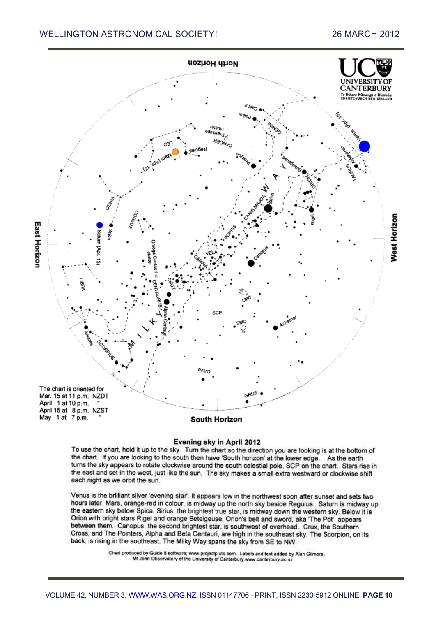

#### Evening sky in April 2012

To use the chart, hold it up to the sky. Turn the chart so the direction you are looking is at the bottom of the chart. If you are looking to the south then have 'South horizon' at the lower edge. As the earth turns the sky appears to rotate clockwise around the south celestial pole, SCP on the chart. Stars rise in the east and set in the west, just like the sun. The sky makes a small extra westward or clockwise shift each night as we orbit the sun.

Venus is the brilliant silver 'evening star'. It appears low in the northwest soon after sunset and sets two hours later. Mars, orange-red in colour, is midway up the north sky beside Regulus. Saturn is midway up the eastern sky below Spica. Sirius, the brightest true star, is midway down the western sky. Below it is Orion with bright stars Rigel and orange Betelgeuse. Orion's belt and sword, aka 'The Pot', appears between them. Canopus, the second brightest star, is southwest of overhead. Crux, the Southern Cross, and The Pointers, Alpha and Beta Centauri, are high in the southeast sky. The Scorpion, on its back, is rising in the southeast. The Milky Way spans the sky from SE to NW.

Chart produced by Guide 8 software; www.projectpluto.com. Labels and text added by Alan Gilmore,<br>Mt John Observatory of the University of Canterbury.www.canterbury.ac.nz